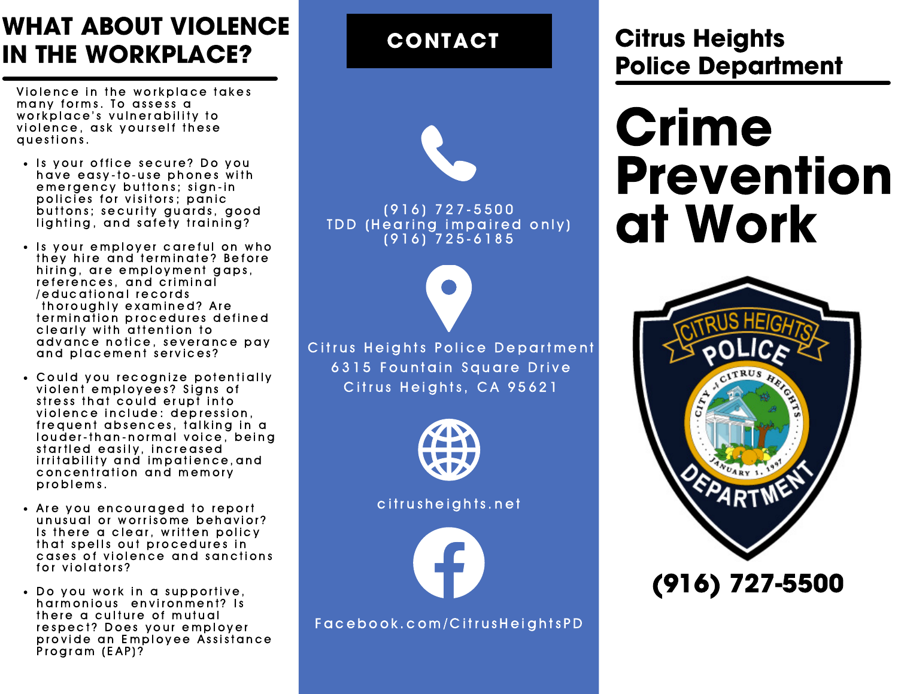## WHAT ABOUT VIOLENCE IN THE WORKPLACE?

Violence in the workplace takes many forms. To assess a workplace's vulnerability to violence, ask yourself these questions.

- . Is your office secure? Do you have easy-to-use phones with emergency buttons; sign-in policies for visitors; panic buttons; security quards, good lighting, and safety training?
- Is your emplover careful on who they hire and terminate? Before hiring, are employment gaps, references, and criminal / educational records thoroughly examined? Are termination procedures defined clearly with attention to advance notice, severance pay and placement services?
- Could you recognize potentially violent employees? Signs of stress that could erupt into violence include: depression, frequent absences, talking in a louder-than-normal voice, being startled easily, increased irritability and impatience, and concentration and memory p r o b l e m s.
- Are you encouraged to report unusual or worrisome behavior? Is there a clear, written policy that spells out procedures in cases of violence and sanctions for violators?
- Do you work in a supportive, harmonious environment? Is there a culture of mutual respect? Does your employer provide an Employee Assistance Program (EAP)?

CONTACT



( 9 1 6) 7 2 7 - 5 5 0 0  $\overline{\rm IDD}$  (Hearing impaired only)  $(916)$   $725 - 6185$ 

Citrus Heights Police Department 6315 Fountain Square Drive Citrus Heights, CA 95621



citrusheights.net



F a c e b o o k . c o m / C i t r u s H e i g h t s P D

### Citrus Heights Police Department

# Crime Prevention at Work